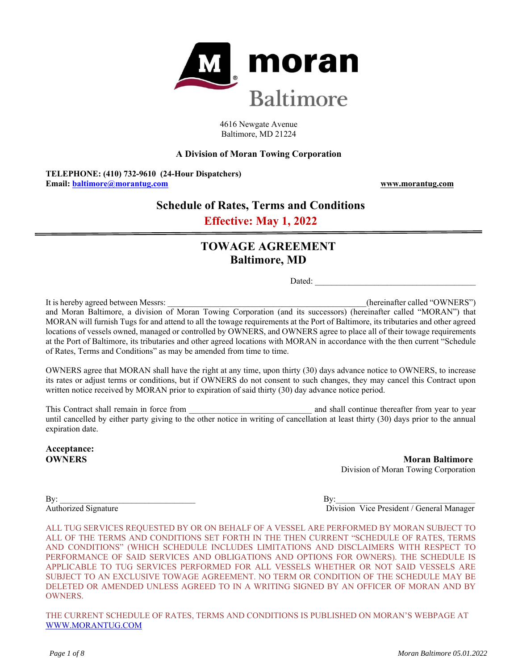

4616 Newgate Avenue Baltimore, MD 21224

### **A Division of Moran Towing Corporation**

**TELEPHONE: (410) 732-9610 (24-Hour Dispatchers) Email: baltimore@morantug.com www.morantug.com** 

# **Schedule of Rates, Terms and Conditions**

**Effective: May 1, 2022**

# **TOWAGE AGREEMENT Baltimore, MD**

Dated:

It is hereby agreed between Messrs: \_\_\_\_\_\_\_\_\_\_\_\_\_\_\_\_\_\_\_\_\_\_\_\_\_\_\_\_\_\_\_\_\_\_\_\_\_\_\_\_\_\_\_\_\_\_\_(hereinafter called "OWNERS") and Moran Baltimore, a division of Moran Towing Corporation (and its successors) (hereinafter called "MORAN") that MORAN will furnish Tugs for and attend to all the towage requirements at the Port of Baltimore, its tributaries and other agreed locations of vessels owned, managed or controlled by OWNERS, and OWNERS agree to place all of their towage requirements at the Port of Baltimore, its tributaries and other agreed locations with MORAN in accordance with the then current "Schedule of Rates, Terms and Conditions" as may be amended from time to time.

OWNERS agree that MORAN shall have the right at any time, upon thirty (30) days advance notice to OWNERS, to increase its rates or adjust terms or conditions, but if OWNERS do not consent to such changes, they may cancel this Contract upon written notice received by MORAN prior to expiration of said thirty (30) day advance notice period.

This Contract shall remain in force from **a** metallic shall continue thereafter from year to year to year until cancelled by either party giving to the other notice in writing of cancellation at least thirty (30) days prior to the annual expiration date.

**Acceptance:** 

**OWNERS Moran Baltimore Moran Baltimore** Division of Moran Towing Corporation

 $\mathbf{B} \mathbf{y}$ :

Authorized Signature **Division Vice President / General Manager** 

ALL TUG SERVICES REQUESTED BY OR ON BEHALF OF A VESSEL ARE PERFORMED BY MORAN SUBJECT TO ALL OF THE TERMS AND CONDITIONS SET FORTH IN THE THEN CURRENT "SCHEDULE OF RATES, TERMS AND CONDITIONS" (WHICH SCHEDULE INCLUDES LIMITATIONS AND DISCLAIMERS WITH RESPECT TO PERFORMANCE OF SAID SERVICES AND OBLIGATIONS AND OPTIONS FOR OWNERS). THE SCHEDULE IS APPLICABLE TO TUG SERVICES PERFORMED FOR ALL VESSELS WHETHER OR NOT SAID VESSELS ARE SUBJECT TO AN EXCLUSIVE TOWAGE AGREEMENT. NO TERM OR CONDITION OF THE SCHEDULE MAY BE DELETED OR AMENDED UNLESS AGREED TO IN A WRITING SIGNED BY AN OFFICER OF MORAN AND BY OWNERS.

THE CURRENT SCHEDULE OF RATES, TERMS AND CONDITIONS IS PUBLISHED ON MORAN'S WEBPAGE AT WWW.MORANTUG.COM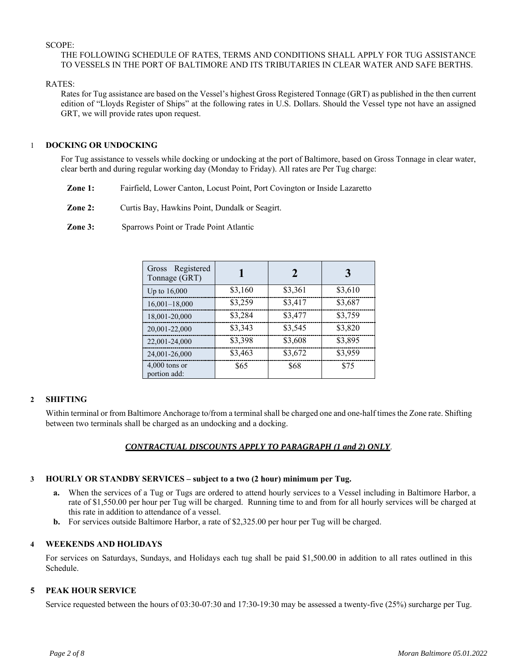### SCOPE:

### THE FOLLOWING SCHEDULE OF RATES, TERMS AND CONDITIONS SHALL APPLY FOR TUG ASSISTANCE TO VESSELS IN THE PORT OF BALTIMORE AND ITS TRIBUTARIES IN CLEAR WATER AND SAFE BERTHS.

RATES:

Rates for Tug assistance are based on the Vessel's highest Gross Registered Tonnage (GRT) as published in the then current edition of "Lloyds Register of Ships" at the following rates in U.S. Dollars. Should the Vessel type not have an assigned GRT, we will provide rates upon request.

### 1 **DOCKING OR UNDOCKING**

For Tug assistance to vessels while docking or undocking at the port of Baltimore, based on Gross Tonnage in clear water, clear berth and during regular working day (Monday to Friday). All rates are Per Tug charge:

- **Zone 1:** Fairfield, Lower Canton, Locust Point, Port Covington or Inside Lazaretto
- **Zone 2:** Curtis Bay, Hawkins Point, Dundalk or Seagirt.

**Zone 3:** Sparrows Point or Trade Point Atlantic

| Gross Registered<br>Tonnage (GRT) |         | $\mathcal{D}_{\mathcal{A}}$ | 3       |
|-----------------------------------|---------|-----------------------------|---------|
| Up to 16,000                      | \$3,160 | \$3,361                     | \$3,610 |
| $16,001-18,000$                   | \$3,259 | \$3,417                     | \$3,687 |
| 18,001-20,000                     | \$3,284 | \$3,477                     | \$3,759 |
| 20,001-22,000                     | \$3,343 | \$3,545                     | \$3,820 |
| 22,001-24,000                     | \$3,398 | \$3,608                     | \$3,895 |
| 24,001-26,000                     | \$3,463 | \$3,672                     | \$3,959 |
| $4,000$ tons or<br>portion add:   | \$65    | \$68                        | \$75    |

# **2 SHIFTING**

Within terminal or from Baltimore Anchorage to/from a terminal shall be charged one and one-half times the Zone rate. Shifting between two terminals shall be charged as an undocking and a docking.

# *CONTRACTUAL DISCOUNTS APPLY TO PARAGRAPH (1 and 2) ONLY*.

# **3 HOURLY OR STANDBY SERVICES – subject to a two (2 hour) minimum per Tug.**

- **a.** When the services of a Tug or Tugs are ordered to attend hourly services to a Vessel including in Baltimore Harbor, a rate of \$1,550.00 per hour per Tug will be charged. Running time to and from for all hourly services will be charged at this rate in addition to attendance of a vessel.
- **b.** For services outside Baltimore Harbor, a rate of \$2,325.00 per hour per Tug will be charged.

# **4 WEEKENDS AND HOLIDAYS**

For services on Saturdays, Sundays, and Holidays each tug shall be paid \$1,500.00 in addition to all rates outlined in this Schedule.

# **5 PEAK HOUR SERVICE**

Service requested between the hours of 03:30-07:30 and 17:30-19:30 may be assessed a twenty-five (25%) surcharge per Tug.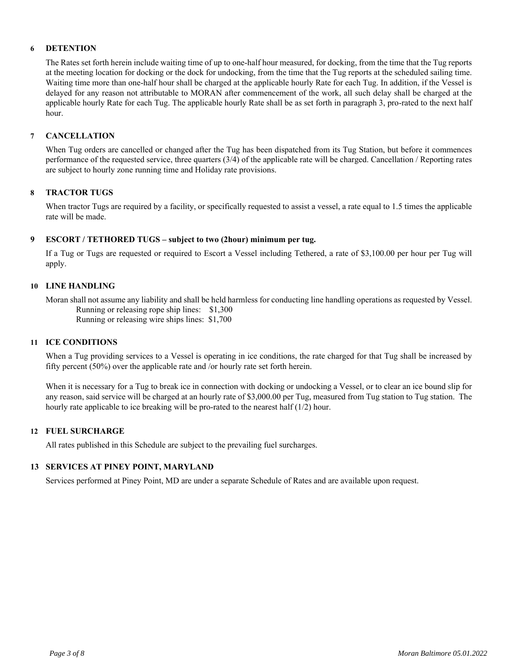### **6 DETENTION**

The Rates set forth herein include waiting time of up to one-half hour measured, for docking, from the time that the Tug reports at the meeting location for docking or the dock for undocking, from the time that the Tug reports at the scheduled sailing time. Waiting time more than one-half hour shall be charged at the applicable hourly Rate for each Tug. In addition, if the Vessel is delayed for any reason not attributable to MORAN after commencement of the work, all such delay shall be charged at the applicable hourly Rate for each Tug. The applicable hourly Rate shall be as set forth in paragraph 3, pro-rated to the next half hour.

### **7 CANCELLATION**

When Tug orders are cancelled or changed after the Tug has been dispatched from its Tug Station, but before it commences performance of the requested service, three quarters (3/4) of the applicable rate will be charged. Cancellation / Reporting rates are subject to hourly zone running time and Holiday rate provisions.

### **8 TRACTOR TUGS**

When tractor Tugs are required by a facility, or specifically requested to assist a vessel, a rate equal to 1.5 times the applicable rate will be made.

### **9 ESCORT / TETHORED TUGS – subject to two (2hour) minimum per tug.**

If a Tug or Tugs are requested or required to Escort a Vessel including Tethered, a rate of \$3,100.00 per hour per Tug will apply.

### **10 LINE HANDLING**

Moran shall not assume any liability and shall be held harmless for conducting line handling operations as requested by Vessel. Running or releasing rope ship lines: \$1,300 Running or releasing wire ships lines: \$1,700

#### **11 ICE CONDITIONS**

When a Tug providing services to a Vessel is operating in ice conditions, the rate charged for that Tug shall be increased by fifty percent (50%) over the applicable rate and /or hourly rate set forth herein.

When it is necessary for a Tug to break ice in connection with docking or undocking a Vessel, or to clear an ice bound slip for any reason, said service will be charged at an hourly rate of \$3,000.00 per Tug, measured from Tug station to Tug station. The hourly rate applicable to ice breaking will be pro-rated to the nearest half (1/2) hour.

#### **12 FUEL SURCHARGE**

All rates published in this Schedule are subject to the prevailing fuel surcharges.

#### **13 SERVICES AT PINEY POINT, MARYLAND**

Services performed at Piney Point, MD are under a separate Schedule of Rates and are available upon request.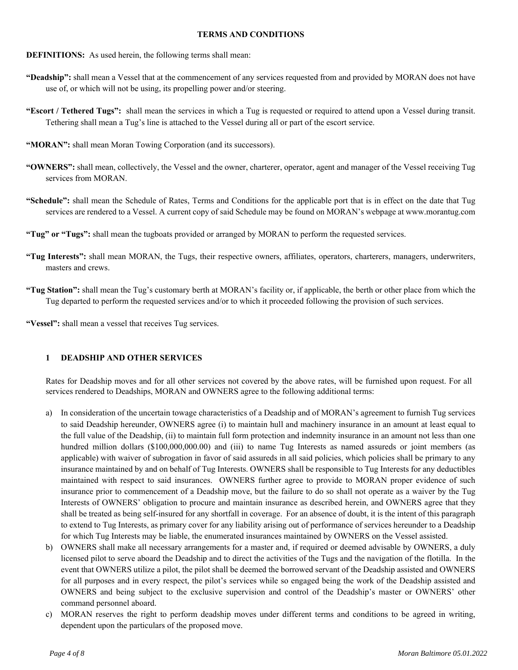### **TERMS AND CONDITIONS**

- **DEFINITIONS:** As used herein, the following terms shall mean:
- **"Deadship":** shall mean a Vessel that at the commencement of any services requested from and provided by MORAN does not have use of, or which will not be using, its propelling power and/or steering.
- **"Escort / Tethered Tugs":** shall mean the services in which a Tug is requested or required to attend upon a Vessel during transit. Tethering shall mean a Tug's line is attached to the Vessel during all or part of the escort service.
- "MORAN": shall mean Moran Towing Corporation (and its successors).
- **"OWNERS":** shall mean, collectively, the Vessel and the owner, charterer, operator, agent and manager of the Vessel receiving Tug services from MORAN.
- **"Schedule":** shall mean the Schedule of Rates, Terms and Conditions for the applicable port that is in effect on the date that Tug services are rendered to a Vessel. A current copy of said Schedule may be found on MORAN's webpage at www.morantug.com
- **"Tug" or "Tugs":** shall mean the tugboats provided or arranged by MORAN to perform the requested services.
- **"Tug Interests":** shall mean MORAN, the Tugs, their respective owners, affiliates, operators, charterers, managers, underwriters, masters and crews.
- **"Tug Station":** shall mean the Tug's customary berth at MORAN's facility or, if applicable, the berth or other place from which the Tug departed to perform the requested services and/or to which it proceeded following the provision of such services.

**"Vessel":** shall mean a vessel that receives Tug services.

# **1 DEADSHIP AND OTHER SERVICES**

Rates for Deadship moves and for all other services not covered by the above rates, will be furnished upon request. For all services rendered to Deadships, MORAN and OWNERS agree to the following additional terms:

- a) In consideration of the uncertain towage characteristics of a Deadship and of MORAN's agreement to furnish Tug services to said Deadship hereunder, OWNERS agree (i) to maintain hull and machinery insurance in an amount at least equal to the full value of the Deadship, (ii) to maintain full form protection and indemnity insurance in an amount not less than one hundred million dollars (\$100,000,000.00) and (iii) to name Tug Interests as named assureds or joint members (as applicable) with waiver of subrogation in favor of said assureds in all said policies, which policies shall be primary to any insurance maintained by and on behalf of Tug Interests. OWNERS shall be responsible to Tug Interests for any deductibles maintained with respect to said insurances. OWNERS further agree to provide to MORAN proper evidence of such insurance prior to commencement of a Deadship move, but the failure to do so shall not operate as a waiver by the Tug Interests of OWNERS' obligation to procure and maintain insurance as described herein, and OWNERS agree that they shall be treated as being self-insured for any shortfall in coverage. For an absence of doubt, it is the intent of this paragraph to extend to Tug Interests, as primary cover for any liability arising out of performance of services hereunder to a Deadship for which Tug Interests may be liable, the enumerated insurances maintained by OWNERS on the Vessel assisted.
- b) OWNERS shall make all necessary arrangements for a master and, if required or deemed advisable by OWNERS, a duly licensed pilot to serve aboard the Deadship and to direct the activities of the Tugs and the navigation of the flotilla. In the event that OWNERS utilize a pilot, the pilot shall be deemed the borrowed servant of the Deadship assisted and OWNERS for all purposes and in every respect, the pilot's services while so engaged being the work of the Deadship assisted and OWNERS and being subject to the exclusive supervision and control of the Deadship's master or OWNERS' other command personnel aboard.
- c) MORAN reserves the right to perform deadship moves under different terms and conditions to be agreed in writing, dependent upon the particulars of the proposed move.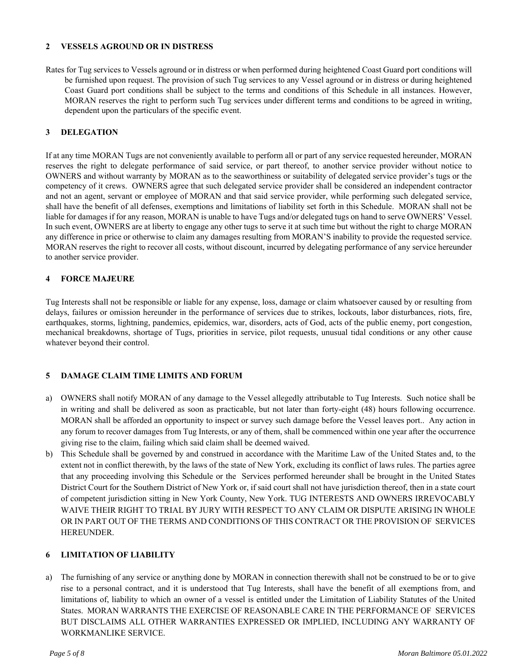### **2 VESSELS AGROUND OR IN DISTRESS**

Rates for Tug services to Vessels aground or in distress or when performed during heightened Coast Guard port conditions will be furnished upon request. The provision of such Tug services to any Vessel aground or in distress or during heightened Coast Guard port conditions shall be subject to the terms and conditions of this Schedule in all instances. However, MORAN reserves the right to perform such Tug services under different terms and conditions to be agreed in writing, dependent upon the particulars of the specific event.

# **3 DELEGATION**

If at any time MORAN Tugs are not conveniently available to perform all or part of any service requested hereunder, MORAN reserves the right to delegate performance of said service, or part thereof, to another service provider without notice to OWNERS and without warranty by MORAN as to the seaworthiness or suitability of delegated service provider's tugs or the competency of it crews. OWNERS agree that such delegated service provider shall be considered an independent contractor and not an agent, servant or employee of MORAN and that said service provider, while performing such delegated service, shall have the benefit of all defenses, exemptions and limitations of liability set forth in this Schedule. MORAN shall not be liable for damages if for any reason, MORAN is unable to have Tugs and/or delegated tugs on hand to serve OWNERS' Vessel. In such event, OWNERS are at liberty to engage any other tugs to serve it at such time but without the right to charge MORAN any difference in price or otherwise to claim any damages resulting from MORAN'S inability to provide the requested service. MORAN reserves the right to recover all costs, without discount, incurred by delegating performance of any service hereunder to another service provider.

# **4 FORCE MAJEURE**

Tug Interests shall not be responsible or liable for any expense, loss, damage or claim whatsoever caused by or resulting from delays, failures or omission hereunder in the performance of services due to strikes, lockouts, labor disturbances, riots, fire, earthquakes, storms, lightning, pandemics, epidemics, war, disorders, acts of God, acts of the public enemy, port congestion, mechanical breakdowns, shortage of Tugs, priorities in service, pilot requests, unusual tidal conditions or any other cause whatever beyond their control.

### **5 DAMAGE CLAIM TIME LIMITS AND FORUM**

- a) OWNERS shall notify MORAN of any damage to the Vessel allegedly attributable to Tug Interests. Such notice shall be in writing and shall be delivered as soon as practicable, but not later than forty-eight (48) hours following occurrence. MORAN shall be afforded an opportunity to inspect or survey such damage before the Vessel leaves port.. Any action in any forum to recover damages from Tug Interests, or any of them, shall be commenced within one year after the occurrence giving rise to the claim, failing which said claim shall be deemed waived.
- b) This Schedule shall be governed by and construed in accordance with the Maritime Law of the United States and, to the extent not in conflict therewith, by the laws of the state of New York, excluding its conflict of laws rules. The parties agree that any proceeding involving this Schedule or the Services performed hereunder shall be brought in the United States District Court for the Southern District of New York or, if said court shall not have jurisdiction thereof, then in a state court of competent jurisdiction sitting in New York County, New York. TUG INTERESTS AND OWNERS IRREVOCABLY WAIVE THEIR RIGHT TO TRIAL BY JURY WITH RESPECT TO ANY CLAIM OR DISPUTE ARISING IN WHOLE OR IN PART OUT OF THE TERMS AND CONDITIONS OF THIS CONTRACT OR THE PROVISION OF SERVICES HEREUNDER.

# **6 LIMITATION OF LIABILITY**

a) The furnishing of any service or anything done by MORAN in connection therewith shall not be construed to be or to give rise to a personal contract, and it is understood that Tug Interests, shall have the benefit of all exemptions from, and limitations of, liability to which an owner of a vessel is entitled under the Limitation of Liability Statutes of the United States. MORAN WARRANTS THE EXERCISE OF REASONABLE CARE IN THE PERFORMANCE OF SERVICES BUT DISCLAIMS ALL OTHER WARRANTIES EXPRESSED OR IMPLIED, INCLUDING ANY WARRANTY OF WORKMANLIKE SERVICE.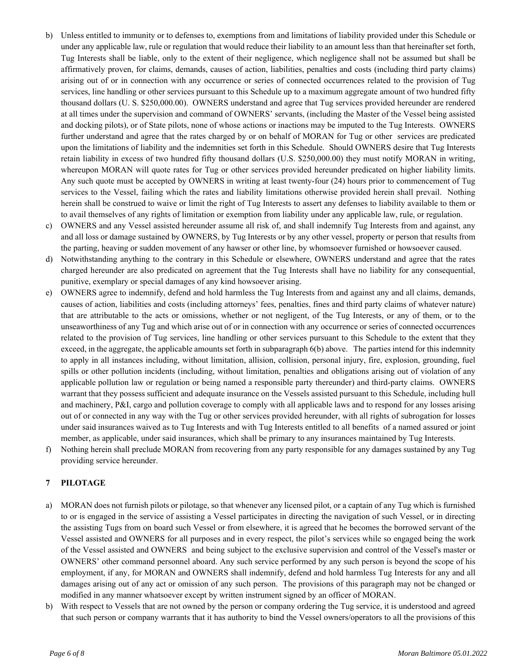- b) Unless entitled to immunity or to defenses to, exemptions from and limitations of liability provided under this Schedule or under any applicable law, rule or regulation that would reduce their liability to an amount less than that hereinafter set forth, Tug Interests shall be liable, only to the extent of their negligence, which negligence shall not be assumed but shall be affirmatively proven, for claims, demands, causes of action, liabilities, penalties and costs (including third party claims) arising out of or in connection with any occurrence or series of connected occurrences related to the provision of Tug services, line handling or other services pursuant to this Schedule up to a maximum aggregate amount of two hundred fifty thousand dollars (U. S. \$250,000.00). OWNERS understand and agree that Tug services provided hereunder are rendered at all times under the supervision and command of OWNERS' servants, (including the Master of the Vessel being assisted and docking pilots), or of State pilots, none of whose actions or inactions may be imputed to the Tug Interests. OWNERS further understand and agree that the rates charged by or on behalf of MORAN for Tug or other services are predicated upon the limitations of liability and the indemnities set forth in this Schedule. Should OWNERS desire that Tug Interests retain liability in excess of two hundred fifty thousand dollars (U.S. \$250,000.00) they must notify MORAN in writing, whereupon MORAN will quote rates for Tug or other services provided hereunder predicated on higher liability limits. Any such quote must be accepted by OWNERS in writing at least twenty-four (24) hours prior to commencement of Tug services to the Vessel, failing which the rates and liability limitations otherwise provided herein shall prevail. Nothing herein shall be construed to waive or limit the right of Tug Interests to assert any defenses to liability available to them or to avail themselves of any rights of limitation or exemption from liability under any applicable law, rule, or regulation.
- c) OWNERS and any Vessel assisted hereunder assume all risk of, and shall indemnify Tug Interests from and against, any and all loss or damage sustained by OWNERS, by Tug Interests or by any other vessel, property or person that results from the parting, heaving or sudden movement of any hawser or other line, by whomsoever furnished or howsoever caused.
- d) Notwithstanding anything to the contrary in this Schedule or elsewhere, OWNERS understand and agree that the rates charged hereunder are also predicated on agreement that the Tug Interests shall have no liability for any consequential, punitive, exemplary or special damages of any kind howsoever arising.
- e) OWNERS agree to indemnify, defend and hold harmless the Tug Interests from and against any and all claims, demands, causes of action, liabilities and costs (including attorneys' fees, penalties, fines and third party claims of whatever nature) that are attributable to the acts or omissions, whether or not negligent, of the Tug Interests, or any of them, or to the unseaworthiness of any Tug and which arise out of or in connection with any occurrence or series of connected occurrences related to the provision of Tug services, line handling or other services pursuant to this Schedule to the extent that they exceed, in the aggregate, the applicable amounts set forth in subparagraph 6(b) above. The parties intend for this indemnity to apply in all instances including, without limitation, allision, collision, personal injury, fire, explosion, grounding, fuel spills or other pollution incidents (including, without limitation, penalties and obligations arising out of violation of any applicable pollution law or regulation or being named a responsible party thereunder) and third-party claims. OWNERS warrant that they possess sufficient and adequate insurance on the Vessels assisted pursuant to this Schedule, including hull and machinery, P&I, cargo and pollution coverage to comply with all applicable laws and to respond for any losses arising out of or connected in any way with the Tug or other services provided hereunder, with all rights of subrogation for losses under said insurances waived as to Tug Interests and with Tug Interests entitled to all benefits of a named assured or joint member, as applicable, under said insurances, which shall be primary to any insurances maintained by Tug Interests.
- f) Nothing herein shall preclude MORAN from recovering from any party responsible for any damages sustained by any Tug providing service hereunder.

# **7 PILOTAGE**

- a) MORAN does not furnish pilots or pilotage, so that whenever any licensed pilot, or a captain of any Tug which is furnished to or is engaged in the service of assisting a Vessel participates in directing the navigation of such Vessel, or in directing the assisting Tugs from on board such Vessel or from elsewhere, it is agreed that he becomes the borrowed servant of the Vessel assisted and OWNERS for all purposes and in every respect, the pilot's services while so engaged being the work of the Vessel assisted and OWNERS and being subject to the exclusive supervision and control of the Vessel's master or OWNERS' other command personnel aboard. Any such service performed by any such person is beyond the scope of his employment, if any, for MORAN and OWNERS shall indemnify, defend and hold harmless Tug Interests for any and all damages arising out of any act or omission of any such person. The provisions of this paragraph may not be changed or modified in any manner whatsoever except by written instrument signed by an officer of MORAN.
- b) With respect to Vessels that are not owned by the person or company ordering the Tug service, it is understood and agreed that such person or company warrants that it has authority to bind the Vessel owners/operators to all the provisions of this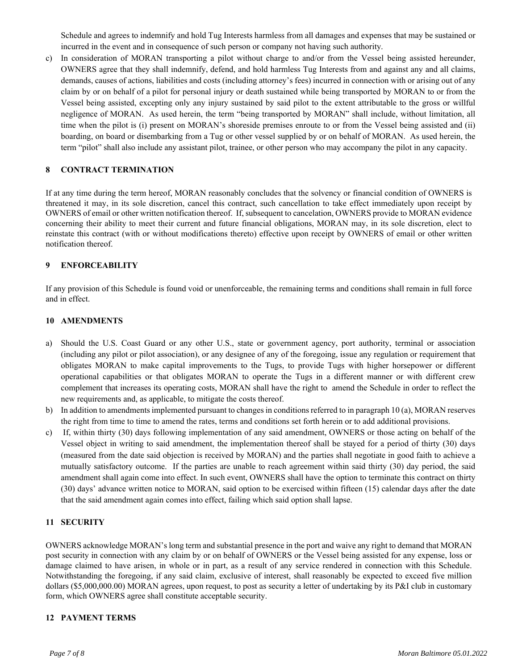Schedule and agrees to indemnify and hold Tug Interests harmless from all damages and expenses that may be sustained or incurred in the event and in consequence of such person or company not having such authority.

c) In consideration of MORAN transporting a pilot without charge to and/or from the Vessel being assisted hereunder, OWNERS agree that they shall indemnify, defend, and hold harmless Tug Interests from and against any and all claims, demands, causes of actions, liabilities and costs (including attorney's fees) incurred in connection with or arising out of any claim by or on behalf of a pilot for personal injury or death sustained while being transported by MORAN to or from the Vessel being assisted, excepting only any injury sustained by said pilot to the extent attributable to the gross or willful negligence of MORAN. As used herein, the term "being transported by MORAN" shall include, without limitation, all time when the pilot is (i) present on MORAN's shoreside premises enroute to or from the Vessel being assisted and (ii) boarding, on board or disembarking from a Tug or other vessel supplied by or on behalf of MORAN. As used herein, the term "pilot" shall also include any assistant pilot, trainee, or other person who may accompany the pilot in any capacity.

# **8 CONTRACT TERMINATION**

If at any time during the term hereof, MORAN reasonably concludes that the solvency or financial condition of OWNERS is threatened it may, in its sole discretion, cancel this contract, such cancellation to take effect immediately upon receipt by OWNERS of email or other written notification thereof. If, subsequent to cancelation, OWNERS provide to MORAN evidence concerning their ability to meet their current and future financial obligations, MORAN may, in its sole discretion, elect to reinstate this contract (with or without modifications thereto) effective upon receipt by OWNERS of email or other written notification thereof.

# **9 ENFORCEABILITY**

If any provision of this Schedule is found void or unenforceable, the remaining terms and conditions shall remain in full force and in effect.

### **10 AMENDMENTS**

- a) Should the U.S. Coast Guard or any other U.S., state or government agency, port authority, terminal or association (including any pilot or pilot association), or any designee of any of the foregoing, issue any regulation or requirement that obligates MORAN to make capital improvements to the Tugs, to provide Tugs with higher horsepower or different operational capabilities or that obligates MORAN to operate the Tugs in a different manner or with different crew complement that increases its operating costs, MORAN shall have the right to amend the Schedule in order to reflect the new requirements and, as applicable, to mitigate the costs thereof.
- b) In addition to amendments implemented pursuant to changes in conditions referred to in paragraph 10 (a), MORAN reserves the right from time to time to amend the rates, terms and conditions set forth herein or to add additional provisions.
- c) If, within thirty (30) days following implementation of any said amendment, OWNERS or those acting on behalf of the Vessel object in writing to said amendment, the implementation thereof shall be stayed for a period of thirty (30) days (measured from the date said objection is received by MORAN) and the parties shall negotiate in good faith to achieve a mutually satisfactory outcome. If the parties are unable to reach agreement within said thirty (30) day period, the said amendment shall again come into effect. In such event, OWNERS shall have the option to terminate this contract on thirty (30) days' advance written notice to MORAN, said option to be exercised within fifteen (15) calendar days after the date that the said amendment again comes into effect, failing which said option shall lapse.

### **11 SECURITY**

OWNERS acknowledge MORAN's long term and substantial presence in the port and waive any right to demand that MORAN post security in connection with any claim by or on behalf of OWNERS or the Vessel being assisted for any expense, loss or damage claimed to have arisen, in whole or in part, as a result of any service rendered in connection with this Schedule. Notwithstanding the foregoing, if any said claim, exclusive of interest, shall reasonably be expected to exceed five million dollars (\$5,000,000.00) MORAN agrees, upon request, to post as security a letter of undertaking by its P&I club in customary form, which OWNERS agree shall constitute acceptable security.

### **12 PAYMENT TERMS**